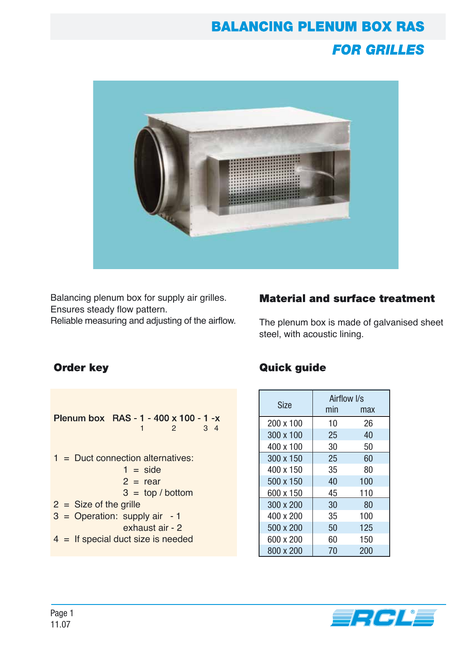# **BALANCING PLENUM BOX RAS FOR GRILLES**



Balancing plenum box for supply air grilles. Ensures steady flow pattern.

Reliable measuring and adjusting of the airflow.

## **Material and surface treatment**

The plenum box is made of galvanised sheet steel, with acoustic lining.

### **Order key**

| Plenum box RAS - 1 - 400 x 100 - 1 -x |  |                                      |  |  |  |  |  |  |  |
|---------------------------------------|--|--------------------------------------|--|--|--|--|--|--|--|
|                                       |  | 2<br>3 <sub>4</sub><br>1             |  |  |  |  |  |  |  |
|                                       |  |                                      |  |  |  |  |  |  |  |
| $1 =$ Duct connection alternatives:   |  |                                      |  |  |  |  |  |  |  |
|                                       |  | $1 = side$                           |  |  |  |  |  |  |  |
|                                       |  | $2 = rear$                           |  |  |  |  |  |  |  |
|                                       |  | $3 = top/bottom$                     |  |  |  |  |  |  |  |
|                                       |  | $2 = Size of the girlle$             |  |  |  |  |  |  |  |
|                                       |  | $3 =$ Operation: supply air - 1      |  |  |  |  |  |  |  |
|                                       |  | exhaust air - 2                      |  |  |  |  |  |  |  |
|                                       |  | $4 =$ If special duct size is needed |  |  |  |  |  |  |  |

## **Quick guide**

|           | Airflow I/s |     |  |
|-----------|-------------|-----|--|
| Size      | min         | max |  |
| 200 x 100 | 10          | 26  |  |
| 300 x 100 | 25          | 40  |  |
| 400 x 100 | 30          | 50  |  |
| 300 x 150 | 25          | 60  |  |
| 400 x 150 | 35          | 80  |  |
| 500 x 150 | 40          | 100 |  |
| 600 x 150 | 45          | 110 |  |
| 300 x 200 | 30          | 80  |  |
| 400 x 200 | 35          | 100 |  |
| 500 x 200 | 50          | 125 |  |
| 600 x 200 | 60          | 150 |  |
| 800 x 200 | 70          | 200 |  |

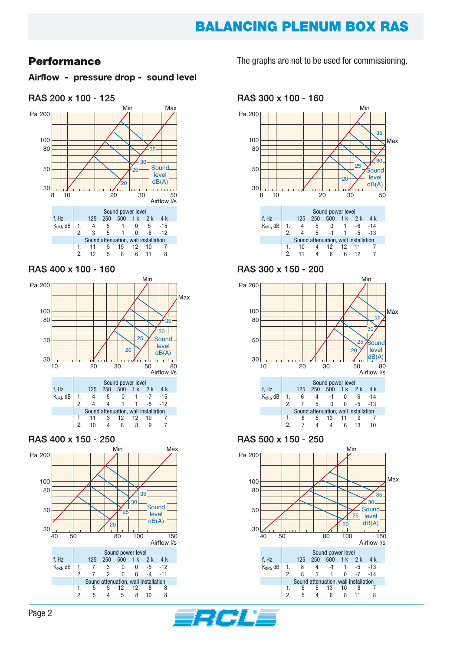## **BALANCING PLENUM BOX RAS**

### **Performance**

Airflow - pressure drop - sound level

#### RAS 200 x 100 - 125



#### RAS 400 x 100 - 160



#### RAS 400 x 150 - 250



#### The graphs are not to be used for commissioning.

RAS 300 x 100 - 160



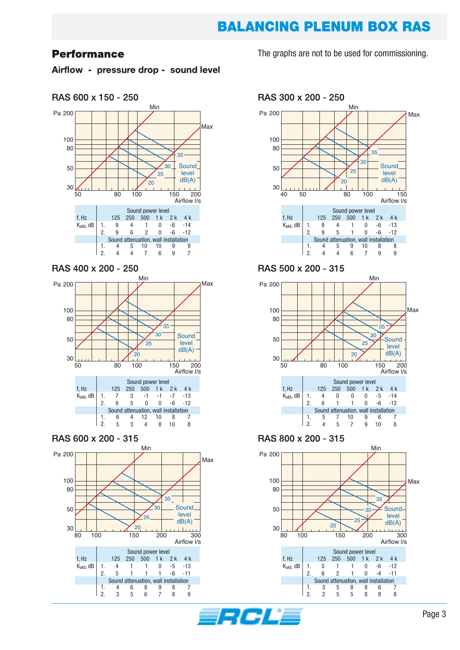## **BALANCING PLENUM BOX RAS**

#### **Performance**

Airflow - pressure drop - sound level



#### RAS 400 x 200 - 250





The graphs are not to be used for commissioning.

RAS 300 x 200 - 250



 $\overline{2}$ 

2.

5

5

8

8

8